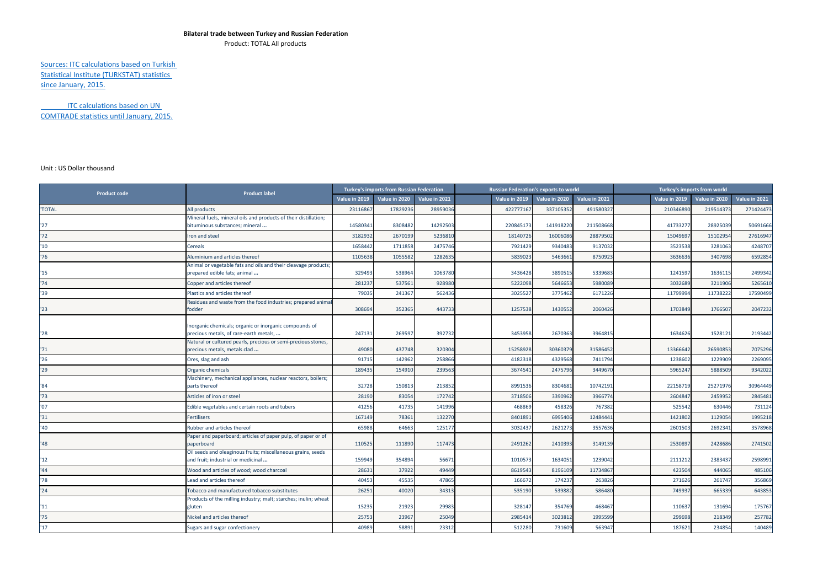## **Bilateral trade between Turkey and Russian Federation**

Product: TOTAL All products

Sources: ITC calculations based on Turkish Statistical Institute (TURKSTAT) statistics since January, 2015.

ITC calculations based on UN COMTRADE statistics until January, 2015.

## Unit : US Dollar thousand

| <b>Product code</b> | <b>Product label</b>                                                                               | Turkey's imports from Russian Federation |               |               |               | <b>Russian Federation's exports to world</b> |               | Turkey's imports from world |               |               |               |
|---------------------|----------------------------------------------------------------------------------------------------|------------------------------------------|---------------|---------------|---------------|----------------------------------------------|---------------|-----------------------------|---------------|---------------|---------------|
|                     |                                                                                                    | <b>Value in 2019</b>                     | Value in 2020 | Value in 2021 | Value in 2019 | Value in 2020                                | Value in 2021 |                             | Value in 2019 | Value in 2020 | Value in 2021 |
| 'TOTAL              | All products                                                                                       | 23116867                                 | 17829236      | 2895903       | 422777167     | 33710535                                     | 491580327     |                             | 210346890     | 219514373     | 271424473     |
| '27                 | Mineral fuels, mineral oils and products of their distillation;<br>bituminous substances; mineral  | 14580341                                 | 8308482       | 1429250       | 22084517      | 14191822                                     | 211508668     |                             | 41733277      | 28925039      | 50691666      |
| '72                 | ron and steel                                                                                      | 3182932                                  | 2670199       | 523681        | 1814072       | 1600608                                      | 28879502      |                             | 15049697      | 15102954      | 27616947      |
| '10                 | Cereals                                                                                            | 1658442                                  | 1711858       | 247574        | 792142        | 934048                                       | 9137032       |                             | 3523538       | 3281063       | 4248707       |
| '76                 | Aluminium and articles thereof                                                                     | 1105638                                  | 1055582       | 128263        | 583902        | 546366                                       | 8750923       |                             | 3636636       | 3407698       | 6592854       |
| 15                  | Animal or vegetable fats and oils and their cleavage products;<br>orepared edible fats; animal     | 329493                                   | 538964        | 106378        | 3436428       | 389051                                       | 5339683       |                             | 1241597       | 1636115       | 2499342       |
| '74                 | Copper and articles thereof                                                                        | 281237                                   | 537561        | 92898         | 5222098       | 564665                                       | 5980089       |                             | 3032689       | 3211906       | 5265610       |
| '39                 | Plastics and articles thereof                                                                      | 79035                                    | 241367        | 562436        | 302552        | 377546                                       | 6171226       |                             | 11799994      | 11738222      | 17590499      |
| '23                 | Residues and waste from the food industries; prepared animal<br>fodder                             | 308694                                   | 352365        | 443733        | 1257538       | 143055                                       | 2060426       |                             | 1703849       | 1766507       | 2047232       |
| '28                 | norganic chemicals; organic or inorganic compounds of<br>precious metals, of rare-earth metals,    | 247131                                   | 269597        | 392732        | 3453958       | 267036                                       | 3964815       |                             | 1634626       | 1528121       | 2193442       |
| 71                  | Natural or cultured pearls, precious or semi-precious stones,<br>precious metals, metals clad      | 49080                                    | 437748        | 32030         | 15258928      | 3036037                                      | 31586452      |                             | 13366642      | 26590853      | 7075296       |
| '26                 | Ores, slag and ash                                                                                 | 91715                                    | 142962        | 25886         | 418231        | 432956                                       | 7411794       |                             | 1238602       | 1229909       | 2269095       |
| '29                 | Organic chemicals                                                                                  | 189435                                   | 154910        | 23956         | 367454        | 247579                                       | 3449670       |                             | 596524        | 5888509       | 9342022       |
| '84                 | Machinery, mechanical appliances, nuclear reactors, boilers;<br>parts thereof                      | 32728                                    | 150813        | 21385         | 8991536       | 830468                                       | 10742191      |                             | 22158719      | 25271976      | 30964449      |
| '73                 | Articles of iron or steel                                                                          | 28190                                    | 83054         | 172742        | 371850        | 339096                                       | 3966774       |                             | 260484        | 2459952       | 2845481       |
| '07                 | Edible vegetables and certain roots and tubers                                                     | 41256                                    | 41735         | 141996        | 468869        | 45832                                        | 767382        |                             | 525542        | 630446        | 731124        |
| '31                 | Fertilisers                                                                                        | 167149                                   | 78361         | 13227         | 840189        | 699540                                       | 12484441      |                             | 1421802       | 1129054       | 1995218       |
| '40                 | Rubber and articles thereof                                                                        | 65988                                    | 64663         | 125177        | 303243        | 262127                                       | 3557636       |                             | 2601503       | 2692341       | 3578968       |
| '48                 | Paper and paperboard; articles of paper pulp, of paper or of<br>paperboard                         | 110525                                   | 111890        | 11747         | 2491262       | 241039                                       | 3149139       |                             | 2530897       | 2428686       | 2741502       |
| 12                  | Oil seeds and oleaginous fruits; miscellaneous grains, seeds<br>and fruit; industrial or medicinal | 159949                                   | 354894        | 5667          | 101057        | 163405                                       | 1239042       |                             | 2111212       | 2383437       | 2598991       |
| '44                 | Wood and articles of wood; wood charcoal                                                           | 28631                                    | 37922         | 49449         | 861954        | 8196109                                      | 11734867      |                             | 423504        | 444065        | 485106        |
| '78                 | Lead and articles thereof                                                                          | 40453                                    | 45535         | 47865         | 16667         | 17423                                        | 263826        |                             | 271626        | 261747        | 356869        |
| 124                 | Tobacco and manufactured tobacco substitutes                                                       | 26251                                    | 40020         | 3431          | 535190        | 53988                                        | 586480        |                             | 749937        | 665339        | 643853        |
| '11                 | Products of the milling industry; malt; starches; inulin; wheat<br>gluten                          | 15235                                    | 21923         | 2998          | 32814         | 354769                                       | 468467        |                             | 110637        | 131694        | 175767        |
| '75                 | Nickel and articles thereof                                                                        | 25753                                    | 23967         | 25049         | 298541        | 302381                                       | 1995599       |                             | 299698        | 218349        | 257782        |
| 17                  | Sugars and sugar confectionery                                                                     | 40989                                    | 58893         | 23312         | 512280        | 73160                                        | 563947        |                             | 187621        | 234854        | 140489        |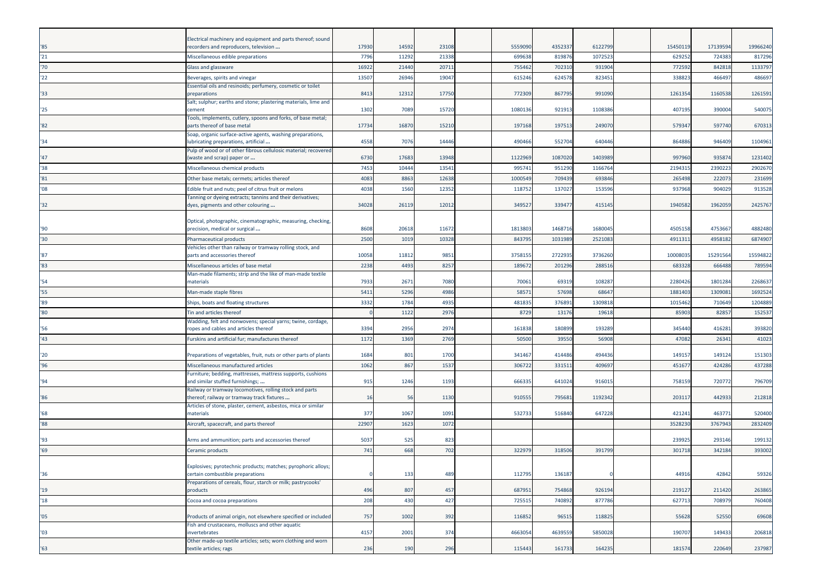| $^{\prime}85$ | Electrical machinery and equipment and parts thereof; sound<br>recorders and reproducers, television  | 17930 | 14592 | 23108 | 5559090 | 4352337 | 612279  | 15450119 | 1713959 | 19966240 |
|---------------|-------------------------------------------------------------------------------------------------------|-------|-------|-------|---------|---------|---------|----------|---------|----------|
| '21           | Miscellaneous edible preparations                                                                     | 7796  | 11292 | 21338 | 699638  | 81987   | 1072523 | 629252   | 72438   | 817296   |
| '70           | Glass and glassware                                                                                   | 1692  | 21440 | 2071  | 755462  | 702310  | 93190   | 772592   | 84281   | 1133797  |
| 22            | Beverages, spirits and vinegar                                                                        | 13507 | 26946 | 19047 | 615246  | 624578  | 823451  | 338823   | 46649   | 486697   |
| '33           | Essential oils and resinoids; perfumery, cosmetic or toilet<br>preparations                           | 8413  | 12312 | 17750 | 772309  | 86779   | 991090  | 1261354  | 1160538 | 1261591  |
| '25           | Salt; sulphur; earths and stone; plastering materials, lime and<br>cement                             | 1302  | 7089  | 15720 | 1080136 | 921913  | 110838  | 407195   | 39000   | 540075   |
| '82           | Tools, implements, cutlery, spoons and forks, of base metal;<br>parts thereof of base metal           | 17734 | 16870 | 15210 | 197168  | 197513  | 249070  | 579347   | 597740  | 670313   |
| '34           | Soap, organic surface-active agents, washing preparations,<br>lubricating preparations, artificial    | 4558  | 7076  | 14446 | 490466  | 552704  | 640446  | 864886   | 94640   | 1104961  |
| '47           | Pulp of wood or of other fibrous cellulosic material; recovered<br>(waste and scrap) paper or         | 6730  | 17683 | 13948 | 1122969 | 1087020 | 1403989 | 997960   | 93587   | 1231402  |
| '38           | Miscellaneous chemical products                                                                       | 7453  | 10444 | 1354  | 995741  | 951290  | 116676  | 219431   | 239022  | 2902670  |
| '81           | Other base metals; cermets; articles thereof                                                          | 4083  | 8863  | 12638 | 1000549 | 709439  | 69384   | 265498   | 22207   | 231699   |
| '08           | Edible fruit and nuts; peel of citrus fruit or melons                                                 | 4038  | 1560  | 12352 | 118752  | 137027  | 15359   | 937968   | 90402   | 913528   |
| $32^{\circ}$  | Tanning or dyeing extracts; tannins and their derivatives;<br>dyes, pigments and other colouring      | 34028 | 26119 | 1201  | 349527  | 339477  | 415145  | 1940582  | 196205  | 2425767  |
| '90           | Optical, photographic, cinematographic, measuring, checking,<br>precision, medical or surgical        | 8608  | 20618 | 1167  | 1813803 | 1468716 | 1680045 | 4505158  | 475366  | 4882480  |
| $30^{\circ}$  | Pharmaceutical products                                                                               | 2500  | 1019  | 10328 | 843795  | 1031989 | 2521083 | 4911311  | 495818  | 6874907  |
| '87           | Vehicles other than railway or tramway rolling stock, and<br>parts and accessories thereof            | 10058 | 11812 | 9851  | 3758155 | 272293  | 3736260 | 10008035 | 1529156 | 15594822 |
| '83           | Miscellaneous articles of base metal                                                                  | 2238  | 4493  | 8257  | 189672  | 201296  | 28851   | 683328   | 66648   | 789594   |
| '54           | Man-made filaments; strip and the like of man-made textile<br>materials                               | 7933  | 2671  | 7080  | 70061   | 69319   | 108287  | 2280426  | 180128  | 2268637  |
| '55           | Man-made staple fibres                                                                                | 5411  | 5296  | 4986  | 58571   | 57698   | 68647   | 1881403  | 130908  | 1692524  |
| '89           | Ships, boats and floating structures                                                                  | 3332  | 1784  | 4935  | 481835  | 376891  | 130981  | 1015462  | 71064   | 1204889  |
| '80           | <b>Fin and articles thereof</b>                                                                       |       | 1122  | 297   | 8729    | 1317    | 19618   | 85903    | 8285    | 152537   |
|               | Wadding, felt and nonwovens; special yarns; twine, cordage,                                           |       |       |       |         |         |         |          |         |          |
| '56           | ropes and cables and articles thereof                                                                 | 3394  | 2956  | 2974  | 161838  | 180899  | 193289  | 345440   | 41628   | 393820   |
| '43           | Furskins and artificial fur; manufactures thereof                                                     | 1172  | 1369  | 2769  | 50500   | 39550   | 56908   | 47082    | 2634    | 41023    |
| '20           | Preparations of vegetables, fruit, nuts or other parts of plants                                      | 1684  | 801   | 1700  | 341467  | 414486  | 494436  | 149157   | 14912   | 151303   |
| 96'           | Miscellaneous manufactured articles                                                                   | 1062  | 867   | 153   | 306722  | 331513  | 40969   | 45167    | 42428   | 437288   |
| '94           | Furniture; bedding, mattresses, mattress supports, cushions<br>and similar stuffed furnishings;       | 915   | 1246  | 1193  | 66633   | 641024  | 91601   | 758159   | 72077   | 796709   |
| '86           | Railway or tramway locomotives, rolling stock and parts<br>thereof; railway or tramway track fixtures | 16    | 56    | 1130  | 910555  | 795681  | 1192342 | 203117   | 442933  | 212818   |
| '68           | Articles of stone, plaster, cement, asbestos, mica or similar<br>materials                            | 377   | 1067  | 1091  | 532733  | 516840  | 647228  | 421241   | 46377   | 520400   |
| 88'           | Aircraft, spacecraft, and parts thereof                                                               | 2290  | 1623  | 1072  |         |         |         | 3528230  | 376794  | 2832409  |
| '93           | Arms and ammunition; parts and accessories thereof                                                    | 5037  | 525   | 823   |         |         |         | 239925   | 29314   | 199132   |
| '69           | Ceramic products                                                                                      | 741   | 668   | 702   | 322979  | 318506  | 391799  | 301718   | 34218   | 393002   |
|               |                                                                                                       |       |       |       |         |         |         |          |         |          |
| '36           | Explosives; pyrotechnic products; matches; pyrophoric alloys;<br>certain combustible preparations     |       | 133   | 489   | 112795  | 136187  |         | 44916    | 42842   | 59326    |
| '19           | Preparations of cereals, flour, starch or milk; pastrycooks'<br>products                              | 496   | 807   | 457   | 687951  | 754868  | 926194  | 219127   | 211420  | 263865   |
| '18           | Cocoa and cocoa preparations                                                                          | 208   | 430   | 427   | 725515  | 740892  | 877786  | 627713   | 708979  | 760408   |
| '05           | Products of animal origin, not elsewhere specified or included                                        | 757   | 1002  | 392   | 116852  | 96515   | 118825  | 55628    | 52550   | 69608    |
| '03           | Fish and crustaceans, molluscs and other aquatic<br>invertebrates                                     | 4157  | 2001  | 374   | 4663054 | 4639559 | 5850028 | 190707   | 149433  | 206818   |
| '63'          | Other made-up textile articles; sets; worn clothing and worn<br>textile articles; rags                | 236   | 190   | 296   | 115443  | 161733  | 164235  | 181574   | 220649  | 237987   |